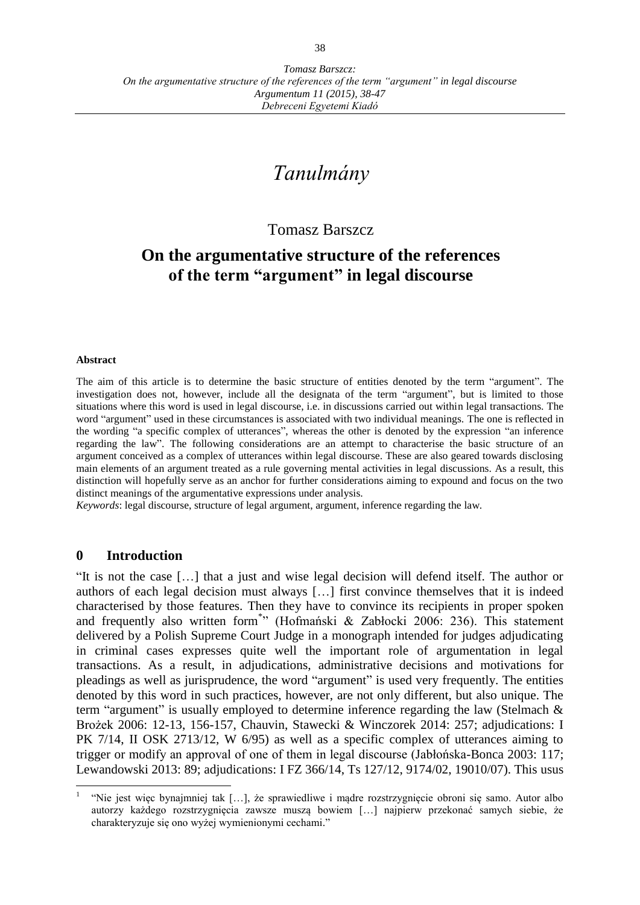# *Tanulmány*

## Tomasz Barszcz

## **On the argumentative structure of the references of the term "argument" in legal discourse**

#### **Abstract**

The aim of this article is to determine the basic structure of entities denoted by the term "argument". The investigation does not, however, include all the designata of the term "argument", but is limited to those situations where this word is used in legal discourse, i.e. in discussions carried out within legal transactions. The word "argument" used in these circumstances is associated with two individual meanings. The one is reflected in the wording "a specific complex of utterances", whereas the other is denoted by the expression "an inference regarding the law". The following considerations are an attempt to characterise the basic structure of an argument conceived as a complex of utterances within legal discourse. These are also geared towards disclosing main elements of an argument treated as a rule governing mental activities in legal discussions. As a result, this distinction will hopefully serve as an anchor for further considerations aiming to expound and focus on the two distinct meanings of the argumentative expressions under analysis.

*Keywords*: legal discourse, structure of legal argument, argument, inference regarding the law.

#### **0 Introduction**

 $\overline{a}$ 

"It is not the case […] that a just and wise legal decision will defend itself. The author or authors of each legal decision must always […] first convince themselves that it is indeed characterised by those features. Then they have to convince its recipients in proper spoken and frequently also written form\* " (Hofmański & Zabłocki 2006: 236). This statement delivered by a Polish Supreme Court Judge in a monograph intended for judges adjudicating in criminal cases expresses quite well the important role of argumentation in legal transactions. As a result, in adjudications, administrative decisions and motivations for pleadings as well as jurisprudence, the word "argument" is used very frequently. The entities denoted by this word in such practices, however, are not only different, but also unique. The term "argument" is usually employed to determine inference regarding the law (Stelmach & Brożek 2006: 12-13, 156-157, Chauvin, Stawecki & Winczorek 2014: 257; adjudications: I PK 7/14, II OSK 2713/12, W 6/95) as well as a specific complex of utterances aiming to trigger or modify an approval of one of them in legal discourse (Jabłońska-Bonca 2003: 117; Lewandowski 2013: 89; adjudications: I FZ 366/14, Ts 127/12, 9174/02, 19010/07). This usus

<sup>1</sup> "Nie jest więc bynajmniej tak […], że sprawiedliwe i mądre rozstrzygnięcie obroni się samo. Autor albo autorzy każdego rozstrzygnięcia zawsze muszą bowiem […] najpierw przekonać samych siebie, że charakteryzuje się ono wyżej wymienionymi cechami."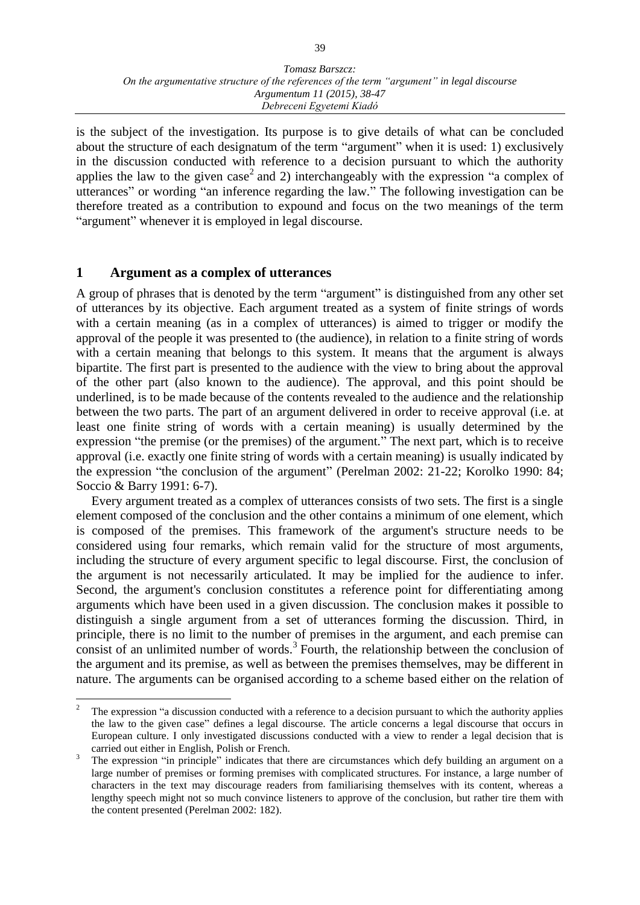is the subject of the investigation. Its purpose is to give details of what can be concluded about the structure of each designatum of the term "argument" when it is used: 1) exclusively in the discussion conducted with reference to a decision pursuant to which the authority applies the law to the given case<sup>2</sup> and 2) interchangeably with the expression "a complex of utterances" or wording "an inference regarding the law." The following investigation can be therefore treated as a contribution to expound and focus on the two meanings of the term "argument" whenever it is employed in legal discourse.

## **1 Argument as a complex of utterances**

 $\overline{a}$ 

A group of phrases that is denoted by the term "argument" is distinguished from any other set of utterances by its objective. Each argument treated as a system of finite strings of words with a certain meaning (as in a complex of utterances) is aimed to trigger or modify the approval of the people it was presented to (the audience), in relation to a finite string of words with a certain meaning that belongs to this system. It means that the argument is always bipartite. The first part is presented to the audience with the view to bring about the approval of the other part (also known to the audience). The approval, and this point should be underlined, is to be made because of the contents revealed to the audience and the relationship between the two parts. The part of an argument delivered in order to receive approval (i.e. at least one finite string of words with a certain meaning) is usually determined by the expression "the premise (or the premises) of the argument." The next part, which is to receive approval (i.e. exactly one finite string of words with a certain meaning) is usually indicated by the expression "the conclusion of the argument" (Perelman 2002: 21-22; Korolko 1990: 84; Soccio & Barry 1991: 6-7).

Every argument treated as a complex of utterances consists of two sets. The first is a single element composed of the conclusion and the other contains a minimum of one element, which is composed of the premises. This framework of the argument's structure needs to be considered using four remarks, which remain valid for the structure of most arguments, including the structure of every argument specific to legal discourse. First, the conclusion of the argument is not necessarily articulated. It may be implied for the audience to infer. Second, the argument's conclusion constitutes a reference point for differentiating among arguments which have been used in a given discussion. The conclusion makes it possible to distinguish a single argument from a set of utterances forming the discussion. Third, in principle, there is no limit to the number of premises in the argument, and each premise can consist of an unlimited number of words.<sup>3</sup> Fourth, the relationship between the conclusion of the argument and its premise, as well as between the premises themselves, may be different in nature. The arguments can be organised according to a scheme based either on the relation of

<sup>&</sup>lt;sup>2</sup> The expression "a discussion conducted with a reference to a decision pursuant to which the authority applies the law to the given case" defines a legal discourse. The article concerns a legal discourse that occurs in European culture. I only investigated discussions conducted with a view to render a legal decision that is carried out either in English, Polish or French.

<sup>&</sup>lt;sup>3</sup> The expression "in principle" indicates that there are circumstances which defy building an argument on a large number of premises or forming premises with complicated structures. For instance, a large number of characters in the text may discourage readers from familiarising themselves with its content, whereas a lengthy speech might not so much convince listeners to approve of the conclusion, but rather tire them with the content presented (Perelman 2002: 182).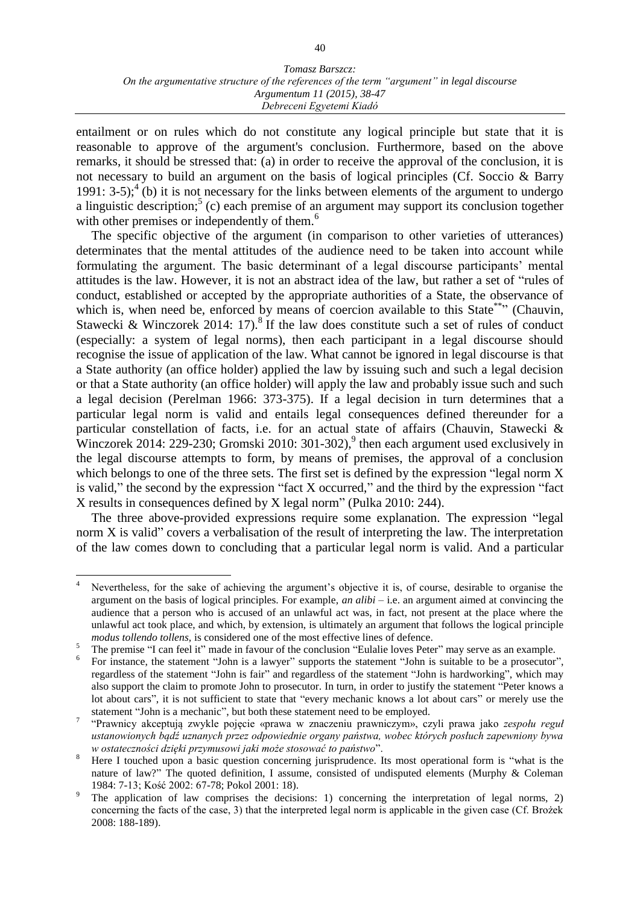#### *Tomasz Barszcz: On the argumentative structure of the references of the term "argument" in legal discourse Argumentum 11 (2015), 38-47 Debreceni Egyetemi Kiadó*

entailment or on rules which do not constitute any logical principle but state that it is reasonable to approve of the argument's conclusion. Furthermore, based on the above remarks, it should be stressed that: (a) in order to receive the approval of the conclusion, it is not necessary to build an argument on the basis of logical principles (Cf. Soccio & Barry 1991: 3-5);<sup>4</sup> (b) it is not necessary for the links between elements of the argument to undergo a linguistic description;<sup>5</sup> (c) each premise of an argument may support its conclusion together with other premises or independently of them.<sup>6</sup>

The specific objective of the argument (in comparison to other varieties of utterances) determinates that the mental attitudes of the audience need to be taken into account while formulating the argument. The basic determinant of a legal discourse participants' mental attitudes is the law. However, it is not an abstract idea of the law, but rather a set of "rules of conduct, established or accepted by the appropriate authorities of a State, the observance of which is, when need be, enforced by means of coercion available to this State<sup>\*\*\*</sup>' (Chauvin, Stawecki & Winczorek 2014: 17).<sup>8</sup> If the law does constitute such a set of rules of conduct (especially: a system of legal norms), then each participant in a legal discourse should recognise the issue of application of the law. What cannot be ignored in legal discourse is that a State authority (an office holder) applied the law by issuing such and such a legal decision or that a State authority (an office holder) will apply the law and probably issue such and such a legal decision (Perelman 1966: 373-375). If a legal decision in turn determines that a particular legal norm is valid and entails legal consequences defined thereunder for a particular constellation of facts, i.e. for an actual state of affairs (Chauvin, Stawecki & Winczorek 2014: 229-230; Gromski 2010: 301-302), $9$  then each argument used exclusively in the legal discourse attempts to form, by means of premises, the approval of a conclusion which belongs to one of the three sets. The first set is defined by the expression "legal norm X is valid," the second by the expression "fact X occurred," and the third by the expression "fact X results in consequences defined by X legal norm" (Pulka 2010: 244).

The three above-provided expressions require some explanation. The expression "legal norm X is valid" covers a verbalisation of the result of interpreting the law. The interpretation of the law comes down to concluding that a particular legal norm is valid. And a particular

 $\overline{4}$ Nevertheless, for the sake of achieving the argument's objective it is, of course, desirable to organise the argument on the basis of logical principles. For example, *an alibi –* i.e. an argument aimed at convincing the audience that a person who is accused of an unlawful act was, in fact, not present at the place where the unlawful act took place, and which, by extension, is ultimately an argument that follows the logical principle *modus tollendo tollens,* is considered one of the most effective lines of defence.

<sup>5</sup> The premise "I can feel it" made in favour of the conclusion "Eulalie loves Peter" may serve as an example.

<sup>6</sup> For instance, the statement "John is a lawyer" supports the statement "John is suitable to be a prosecutor", regardless of the statement "John is fair" and regardless of the statement "John is hardworking", which may also support the claim to promote John to prosecutor. In turn, in order to justify the statement "Peter knows a lot about cars", it is not sufficient to state that "every mechanic knows a lot about cars" or merely use the statement "John is a mechanic", but both these statement need to be employed.

<sup>7</sup> "Prawnicy akceptują zwykle pojęcie «prawa w znaczeniu prawniczym», czyli prawa jako *zespołu reguł ustanowionych bądź uznanych przez odpowiednie organy państwa, wobec których posłuch zapewniony bywa w ostateczności dzięki przymusowi jaki może stosować to państwo*".

Here I touched upon a basic question concerning jurisprudence. Its most operational form is "what is the nature of law?" The quoted definition, I assume, consisted of undisputed elements (Murphy & Coleman 1984: 7-13; Kość 2002: 67-78; Pokol 2001: 18).

The application of law comprises the decisions: 1) concerning the interpretation of legal norms, 2) concerning the facts of the case, 3) that the interpreted legal norm is applicable in the given case (Cf. Brożek 2008: 188-189).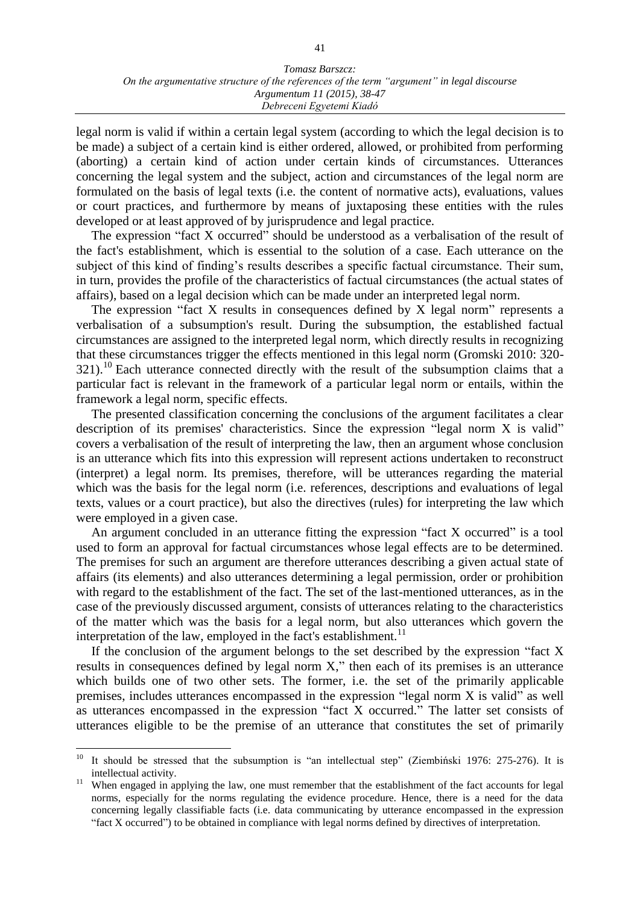legal norm is valid if within a certain legal system (according to which the legal decision is to be made) a subject of a certain kind is either ordered, allowed, or prohibited from performing (aborting) a certain kind of action under certain kinds of circumstances. Utterances concerning the legal system and the subject, action and circumstances of the legal norm are formulated on the basis of legal texts (i.e. the content of normative acts), evaluations, values or court practices, and furthermore by means of juxtaposing these entities with the rules developed or at least approved of by jurisprudence and legal practice.

The expression "fact X occurred" should be understood as a verbalisation of the result of the fact's establishment, which is essential to the solution of a case. Each utterance on the subject of this kind of finding's results describes a specific factual circumstance. Their sum, in turn, provides the profile of the characteristics of factual circumstances (the actual states of affairs), based on a legal decision which can be made under an interpreted legal norm.

The expression "fact X results in consequences defined by X legal norm" represents a verbalisation of a subsumption's result. During the subsumption, the established factual circumstances are assigned to the interpreted legal norm, which directly results in recognizing that these circumstances trigger the effects mentioned in this legal norm (Gromski 2010: 320-  $321$ ).<sup>10</sup> Each utterance connected directly with the result of the subsumption claims that a particular fact is relevant in the framework of a particular legal norm or entails, within the framework a legal norm, specific effects.

The presented classification concerning the conclusions of the argument facilitates a clear description of its premises' characteristics. Since the expression "legal norm X is valid" covers a verbalisation of the result of interpreting the law, then an argument whose conclusion is an utterance which fits into this expression will represent actions undertaken to reconstruct (interpret) a legal norm. Its premises, therefore, will be utterances regarding the material which was the basis for the legal norm *(i.e. references, descriptions and evaluations of legal* texts, values or a court practice), but also the directives (rules) for interpreting the law which were employed in a given case.

An argument concluded in an utterance fitting the expression "fact X occurred" is a tool used to form an approval for factual circumstances whose legal effects are to be determined. The premises for such an argument are therefore utterances describing a given actual state of affairs (its elements) and also utterances determining a legal permission, order or prohibition with regard to the establishment of the fact. The set of the last-mentioned utterances, as in the case of the previously discussed argument, consists of utterances relating to the characteristics of the matter which was the basis for a legal norm, but also utterances which govern the interpretation of the law, employed in the fact's establishment.<sup>11</sup>

If the conclusion of the argument belongs to the set described by the expression "fact  $X$ results in consequences defined by legal norm X," then each of its premises is an utterance which builds one of two other sets. The former, i.e. the set of the primarily applicable premises, includes utterances encompassed in the expression "legal norm X is valid" as well as utterances encompassed in the expression "fact X occurred." The latter set consists of utterances eligible to be the premise of an utterance that constitutes the set of primarily

 $10$ <sup>10</sup> It should be stressed that the subsumption is "an intellectual step" (Ziembiński 1976: 275-276). It is intellectual activity.

When engaged in applying the law, one must remember that the establishment of the fact accounts for legal norms, especially for the norms regulating the evidence procedure. Hence, there is a need for the data concerning legally classifiable facts (i.e. data communicating by utterance encompassed in the expression "fact X occurred") to be obtained in compliance with legal norms defined by directives of interpretation.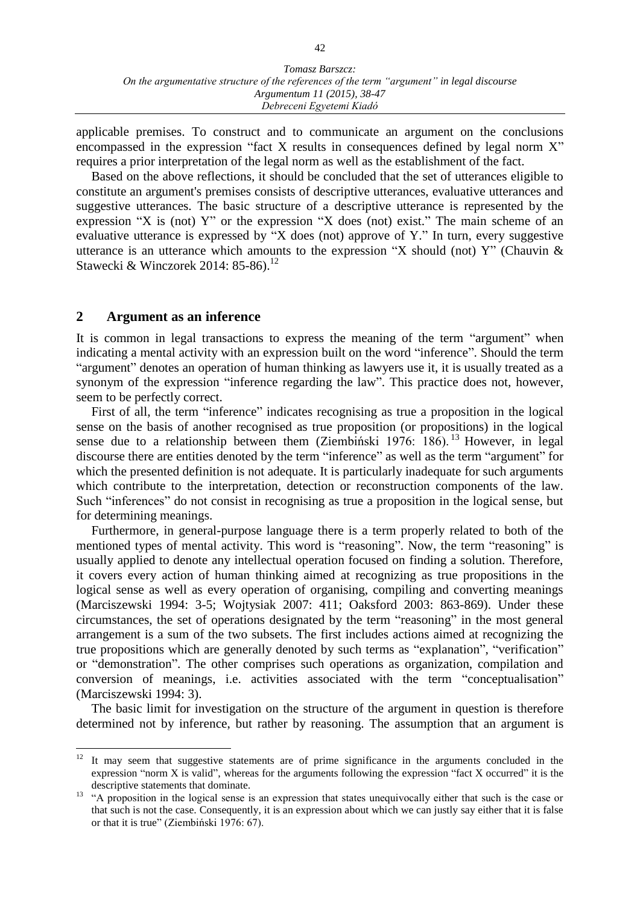applicable premises. To construct and to communicate an argument on the conclusions encompassed in the expression "fact X results in consequences defined by legal norm X" requires a prior interpretation of the legal norm as well as the establishment of the fact.

Based on the above reflections, it should be concluded that the set of utterances eligible to constitute an argument's premises consists of descriptive utterances, evaluative utterances and suggestive utterances. The basic structure of a descriptive utterance is represented by the expression "X is (not) Y" or the expression "X does (not) exist." The main scheme of an evaluative utterance is expressed by "X does (not) approve of Y." In turn, every suggestive utterance is an utterance which amounts to the expression "X should (not) Y" (Chauvin  $\&$ Stawecki & Winczorek 2014: 85-86).<sup>12</sup>

### **2 Argument as an inference**

It is common in legal transactions to express the meaning of the term "argument" when indicating a mental activity with an expression built on the word "inference". Should the term "argument" denotes an operation of human thinking as lawyers use it, it is usually treated as a synonym of the expression "inference regarding the law". This practice does not, however, seem to be perfectly correct.

First of all, the term "inference" indicates recognising as true a proposition in the logical sense on the basis of another recognised as true proposition (or propositions) in the logical sense due to a relationship between them (Ziembiński 1976:  $186$ ). <sup>13</sup> However, in legal discourse there are entities denoted by the term "inference" as well as the term "argument" for which the presented definition is not adequate. It is particularly inadequate for such arguments which contribute to the interpretation, detection or reconstruction components of the law. Such "inferences" do not consist in recognising as true a proposition in the logical sense, but for determining meanings.

Furthermore, in general-purpose language there is a term properly related to both of the mentioned types of mental activity. This word is "reasoning". Now, the term "reasoning" is usually applied to denote any intellectual operation focused on finding a solution. Therefore, it covers every action of human thinking aimed at recognizing as true propositions in the logical sense as well as every operation of organising, compiling and converting meanings (Marciszewski 1994: 3-5; Wojtysiak 2007: 411; Oaksford 2003: 863-869). Under these circumstances, the set of operations designated by the term "reasoning" in the most general arrangement is a sum of the two subsets. The first includes actions aimed at recognizing the true propositions which are generally denoted by such terms as "explanation", "verification" or "demonstration". The other comprises such operations as organization, compilation and conversion of meanings, i.e. activities associated with the term "conceptualisation" (Marciszewski 1994: 3).

The basic limit for investigation on the structure of the argument in question is therefore determined not by inference, but rather by reasoning. The assumption that an argument is

 $12 \,$ <sup>12</sup> It may seem that suggestive statements are of prime significance in the arguments concluded in the expression "norm X is valid", whereas for the arguments following the expression "fact X occurred" it is the descriptive statements that dominate.

<sup>&</sup>lt;sup>13</sup> "A proposition in the logical sense is an expression that states unequivocally either that such is the case or that such is not the case. Consequently, it is an expression about which we can justly say either that it is false or that it is true" (Ziembiński 1976: 67).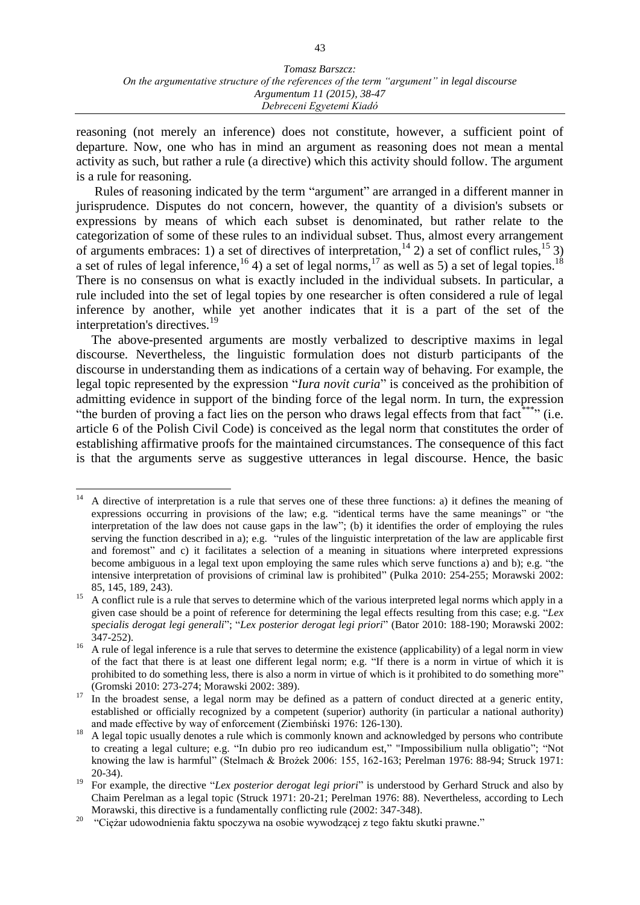reasoning (not merely an inference) does not constitute, however, a sufficient point of departure. Now, one who has in mind an argument as reasoning does not mean a mental activity as such, but rather a rule (a directive) which this activity should follow. The argument is a rule for reasoning.

Rules of reasoning indicated by the term "argument" are arranged in a different manner in jurisprudence. Disputes do not concern, however, the quantity of a division's subsets or expressions by means of which each subset is denominated, but rather relate to the categorization of some of these rules to an individual subset. Thus, almost every arrangement of arguments embraces: 1) a set of directives of interpretation,<sup>14</sup> 2) a set of conflict rules,<sup>15</sup> 3) a set of rules of legal inference,  $^{16}$  4) a set of legal norms,  $^{17}$  as well as 5) a set of legal topies.<sup>18</sup> There is no consensus on what is exactly included in the individual subsets. In particular, a rule included into the set of legal topies by one researcher is often considered a rule of legal inference by another, while yet another indicates that it is a part of the set of the interpretation's directives.<sup>19</sup>

The above-presented arguments are mostly verbalized to descriptive maxims in legal discourse. Nevertheless, the linguistic formulation does not disturb participants of the discourse in understanding them as indications of a certain way of behaving. For example, the legal topic represented by the expression "*Iura novit curia*" is conceived as the prohibition of admitting evidence in support of the binding force of the legal norm. In turn, the expression "the burden of proving a fact lies on the person who draws legal effects from that fact."\*\*\*" (i.e. article 6 of the Polish Civil Code) is conceived as the legal norm that constitutes the order of establishing affirmative proofs for the maintained circumstances. The consequence of this fact is that the arguments serve as suggestive utterances in legal discourse. Hence, the basic

 $\overline{a}$ 

<sup>14</sup> A directive of interpretation is a rule that serves one of these three functions: a) it defines the meaning of expressions occurring in provisions of the law; e.g. "identical terms have the same meanings" or "the interpretation of the law does not cause gaps in the law"; (b) it identifies the order of employing the rules serving the function described in a); e.g. "rules of the linguistic interpretation of the law are applicable first and foremost" and c) it facilitates a selection of a meaning in situations where interpreted expressions become ambiguous in a legal text upon employing the same rules which serve functions a) and b); e.g. "the intensive interpretation of provisions of criminal law is prohibited" (Pulka 2010: 254-255; Morawski 2002: 85, 145, 189, 243).

<sup>&</sup>lt;sup>15</sup> A conflict rule is a rule that serves to determine which of the various interpreted legal norms which apply in a given case should be a point of reference for determining the legal effects resulting from this case; e.g. "*Lex specialis derogat legi generali*"; "*Lex posterior derogat legi priori*" (Bator 2010: 188-190; Morawski 2002: 347-252).

<sup>&</sup>lt;sup>16</sup> A rule of legal inference is a rule that serves to determine the existence (applicability) of a legal norm in view of the fact that there is at least one different legal norm; e.g. "If there is a norm in virtue of which it is prohibited to do something less, there is also a norm in virtue of which is it prohibited to do something more" (Gromski 2010: 273-274; Morawski 2002: 389).

<sup>&</sup>lt;sup>17</sup> In the broadest sense, a legal norm may be defined as a pattern of conduct directed at a generic entity, established or officially recognized by a competent (superior) authority (in particular a national authority) and made effective by way of enforcement (Ziembiński 1976: 126-130).

<sup>18</sup> A legal topic usually denotes a rule which is commonly known and acknowledged by persons who contribute to creating a legal culture; e.g. "In dubio pro reo iudicandum est," "Impossibilium nulla obligatio"; "Not knowing the law is harmful" (Stelmach & Brożek 2006: 155, 162-163; Perelman 1976: 88-94; Struck 1971: 20-34).

<sup>&</sup>lt;sup>19</sup> For example, the directive "*Lex posterior derogat legi priori*" is understood by Gerhard Struck and also by Chaim Perelman as a legal topic (Struck 1971: 20-21; Perelman 1976: 88). Nevertheless, according to Lech Morawski, this directive is a fundamentally conflicting rule (2002: 347-348).

<sup>20</sup> "Ciężar udowodnienia faktu spoczywa na osobie wywodzącej z tego faktu skutki prawne."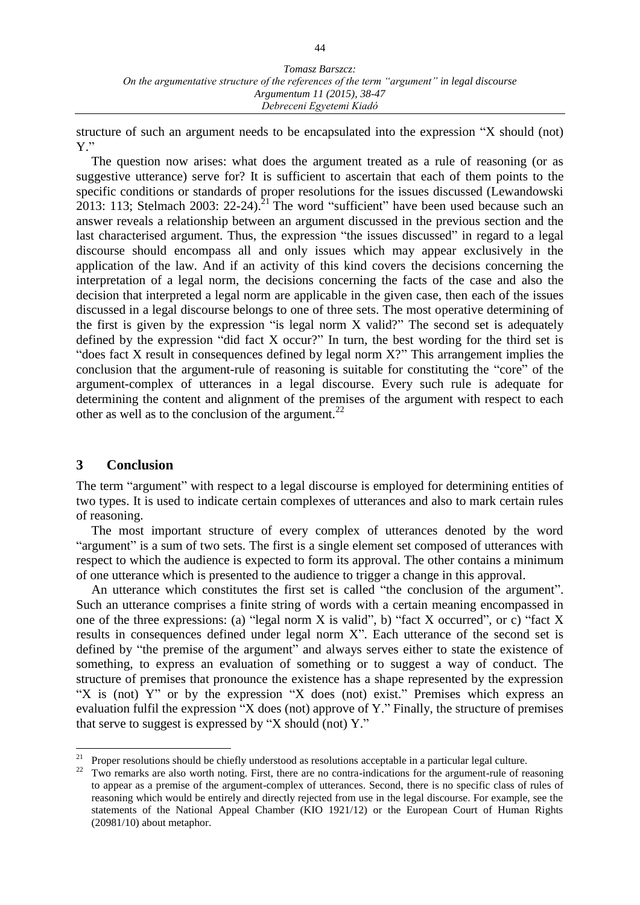structure of such an argument needs to be encapsulated into the expression "X should (not) Y."

The question now arises: what does the argument treated as a rule of reasoning (or as suggestive utterance) serve for? It is sufficient to ascertain that each of them points to the specific conditions or standards of proper resolutions for the issues discussed (Lewandowski 2013: 113; Stelmach 2003: 22-24).<sup>21</sup> The word "sufficient" have been used because such an answer reveals a relationship between an argument discussed in the previous section and the last characterised argument. Thus, the expression "the issues discussed" in regard to a legal discourse should encompass all and only issues which may appear exclusively in the application of the law. And if an activity of this kind covers the decisions concerning the interpretation of a legal norm, the decisions concerning the facts of the case and also the decision that interpreted a legal norm are applicable in the given case, then each of the issues discussed in a legal discourse belongs to one of three sets. The most operative determining of the first is given by the expression "is legal norm X valid?" The second set is adequately defined by the expression "did fact X occur?" In turn, the best wording for the third set is "does fact X result in consequences defined by legal norm X?" This arrangement implies the conclusion that the argument-rule of reasoning is suitable for constituting the "core" of the argument-complex of utterances in a legal discourse. Every such rule is adequate for determining the content and alignment of the premises of the argument with respect to each other as well as to the conclusion of the argument.<sup>22</sup>

## **3 Conclusion**

 $\overline{a}$ 

The term "argument" with respect to a legal discourse is employed for determining entities of two types. It is used to indicate certain complexes of utterances and also to mark certain rules of reasoning.

The most important structure of every complex of utterances denoted by the word "argument" is a sum of two sets. The first is a single element set composed of utterances with respect to which the audience is expected to form its approval. The other contains a minimum of one utterance which is presented to the audience to trigger a change in this approval.

An utterance which constitutes the first set is called "the conclusion of the argument". Such an utterance comprises a finite string of words with a certain meaning encompassed in one of the three expressions: (a) "legal norm X is valid", b) "fact X occurred", or c) "fact X results in consequences defined under legal norm X". Each utterance of the second set is defined by "the premise of the argument" and always serves either to state the existence of something, to express an evaluation of something or to suggest a way of conduct. The structure of premises that pronounce the existence has a shape represented by the expression "X is (not) Y" or by the expression "X does (not) exist." Premises which express an evaluation fulfil the expression "X does (not) approve of Y." Finally, the structure of premises that serve to suggest is expressed by "X should (not) Y."

Proper resolutions should be chiefly understood as resolutions acceptable in a particular legal culture.

<sup>&</sup>lt;sup>22</sup> Two remarks are also worth noting. First, there are no contra-indications for the argument-rule of reasoning to appear as a premise of the argument-complex of utterances. Second, there is no specific class of rules of reasoning which would be entirely and directly rejected from use in the legal discourse. For example, see the statements of the National Appeal Chamber (KIO 1921/12) or the European Court of Human Rights (20981/10) about metaphor.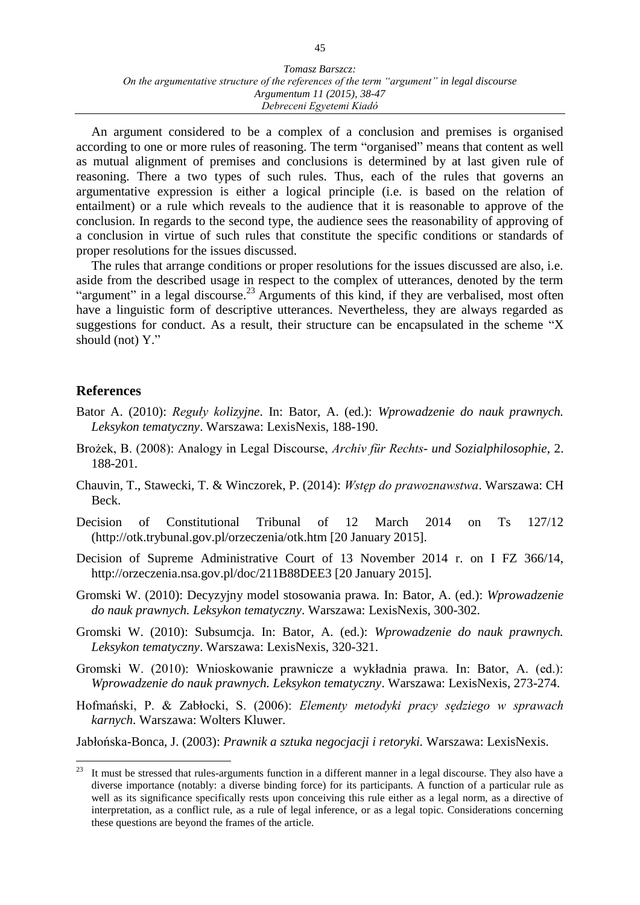#### *Tomasz Barszcz: On the argumentative structure of the references of the term "argument" in legal discourse Argumentum 11 (2015), 38-47 Debreceni Egyetemi Kiadó*

An argument considered to be a complex of a conclusion and premises is organised according to one or more rules of reasoning. The term "organised" means that content as well as mutual alignment of premises and conclusions is determined by at last given rule of reasoning. There a two types of such rules. Thus, each of the rules that governs an argumentative expression is either a logical principle (i.e. is based on the relation of entailment) or a rule which reveals to the audience that it is reasonable to approve of the conclusion. In regards to the second type, the audience sees the reasonability of approving of a conclusion in virtue of such rules that constitute the specific conditions or standards of proper resolutions for the issues discussed.

The rules that arrange conditions or proper resolutions for the issues discussed are also, i.e. aside from the described usage in respect to the complex of utterances, denoted by the term "argument" in a legal discourse.<sup>23</sup> Arguments of this kind, if they are verbalised, most often have a linguistic form of descriptive utterances. Nevertheless, they are always regarded as suggestions for conduct. As a result, their structure can be encapsulated in the scheme "X should (not) Y."

## **References**

- Bator A. (2010): *Reguły kolizyjne*. In: Bator, A. (ed.): *Wprowadzenie do nauk prawnych. Leksykon tematyczny*. Warszawa: LexisNexis, 188-190.
- Brożek, B. (2008): Analogy in Legal Discourse, *Archiv für Rechts- und Sozialphilosophie*, 2. 188-201.
- Chauvin, T., Stawecki, T. & Winczorek, P. (2014): *Wstęp do prawoznawstwa*. Warszawa: CH Beck.
- Decision of Constitutional Tribunal of 12 March 2014 on Ts 127/12 (http://otk.trybunal.gov.pl/orzeczenia/otk.htm [20 January 2015].
- Decision of Supreme Administrative Court of 13 November 2014 r. on I FZ 366/14, http://orzeczenia.nsa.gov.pl/doc/211B88DEE3 [20 January 2015].
- Gromski W. (2010): Decyzyjny model stosowania prawa. In: Bator, A. (ed.): *Wprowadzenie do nauk prawnych. Leksykon tematyczny*. Warszawa: LexisNexis, 300-302.
- Gromski W. (2010): Subsumcja. In: Bator, A. (ed.): *Wprowadzenie do nauk prawnych. Leksykon tematyczny*. Warszawa: LexisNexis, 320-321.
- Gromski W. (2010): Wnioskowanie prawnicze a wykładnia prawa. In: Bator, A. (ed.): *Wprowadzenie do nauk prawnych. Leksykon tematyczny*. Warszawa: LexisNexis, 273-274.
- Hofmański, P. & Zabłocki, S. (2006): *Elementy metodyki pracy sędziego w sprawach karnych*. Warszawa: Wolters Kluwer.

Jabłońska-Bonca, J. (2003): *Prawnik a sztuka negocjacji i retoryki.* Warszawa: LexisNexis.

 $23\,$ It must be stressed that rules-arguments function in a different manner in a legal discourse. They also have a diverse importance (notably: a diverse binding force) for its participants. A function of a particular rule as well as its significance specifically rests upon conceiving this rule either as a legal norm, as a directive of interpretation, as a conflict rule, as a rule of legal inference, or as a legal topic. Considerations concerning these questions are beyond the frames of the article.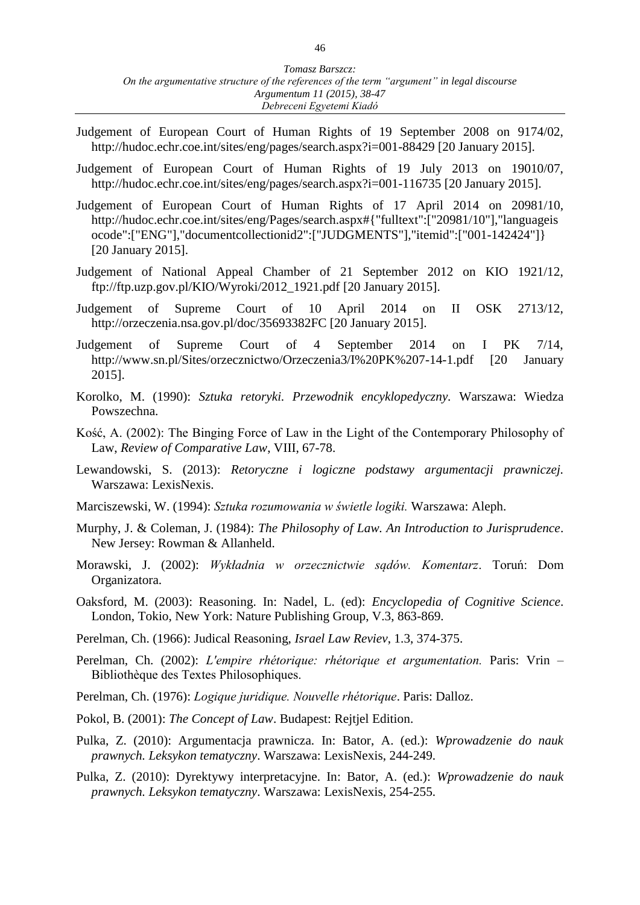- Judgement of European Court of Human Rights of 19 September 2008 on 9174/02, http://hudoc.echr.coe.int/sites/eng/pages/search.aspx?i=001-88429 [20 January 2015].
- Judgement of European Court of Human Rights of 19 July 2013 on 19010/07, http://hudoc.echr.coe.int/sites/eng/pages/search.aspx?i=001-116735 [20 January 2015].
- Judgement of European Court of Human Rights of 17 April 2014 on 20981/10, http://hudoc.echr.coe.int/sites/eng/Pages/search.aspx#{"fulltext":["20981/10"],"languageis ocode":["ENG"],"documentcollectionid2":["JUDGMENTS"],"itemid":["001-142424"]} [20 January 2015].
- Judgement of National Appeal Chamber of 21 September 2012 on KIO 1921/12, ftp://ftp.uzp.gov.pl/KIO/Wyroki/2012\_1921.pdf [20 January 2015].
- Judgement of Supreme Court of 10 April 2014 on II OSK 2713/12, http://orzeczenia.nsa.gov.pl/doc/35693382FC [20 January 2015].
- Judgement of Supreme Court of 4 September 2014 on I PK 7/14, http://www.sn.pl/Sites/orzecznictwo/Orzeczenia3/I%20PK%207-14-1.pdf [20 January 2015].
- Korolko, M. (1990): *Sztuka retoryki. Przewodnik encyklopedyczny.* Warszawa: Wiedza Powszechna.
- Kość, A. (2002): The Binging Force of Law in the Light of the Contemporary Philosophy of Law, *Review of Comparative Law*, VIII, 67-78.
- Lewandowski, S. (2013): *Retoryczne i logiczne podstawy argumentacji prawniczej.* Warszawa: LexisNexis.
- Marciszewski, W. (1994): *Sztuka rozumowania w świetle logiki.* Warszawa: Aleph.
- Murphy, J. & Coleman, J. (1984): *The Philosophy of Law. An Introduction to Jurisprudence*. New Jersey: Rowman & Allanheld.
- Morawski, J. (2002): *Wykładnia w orzecznictwie sądów. Komentarz*. Toruń: Dom Organizatora.
- Oaksford, M. (2003): Reasoning. In: Nadel, L. (ed): *Encyclopedia of Cognitive Science*. London, Tokio, New York: Nature Publishing Group, V.3, 863-869.
- Perelman, Ch. (1966): Judical Reasoning, *Israel Law Reviev*, 1.3, 374-375.
- Perelman, Ch. (2002): *L'empire rhétorique: rhétorique et argumentation*. Paris: Vrin Bibliothèque des Textes Philosophiques.
- Perelman, Ch. (1976): *Logique juridique. Nouvelle rhétorique*. Paris: Dalloz.
- Pokol, B. (2001): *The Concept of Law*. Budapest: Rejtjel Edition.
- Pulka, Z. (2010): Argumentacja prawnicza. In: Bator, A. (ed.): *Wprowadzenie do nauk prawnych. Leksykon tematyczny*. Warszawa: LexisNexis, 244-249.
- Pulka, Z. (2010): Dyrektywy interpretacyjne. In: Bator, A. (ed.): *Wprowadzenie do nauk prawnych. Leksykon tematyczny*. Warszawa: LexisNexis, 254-255.